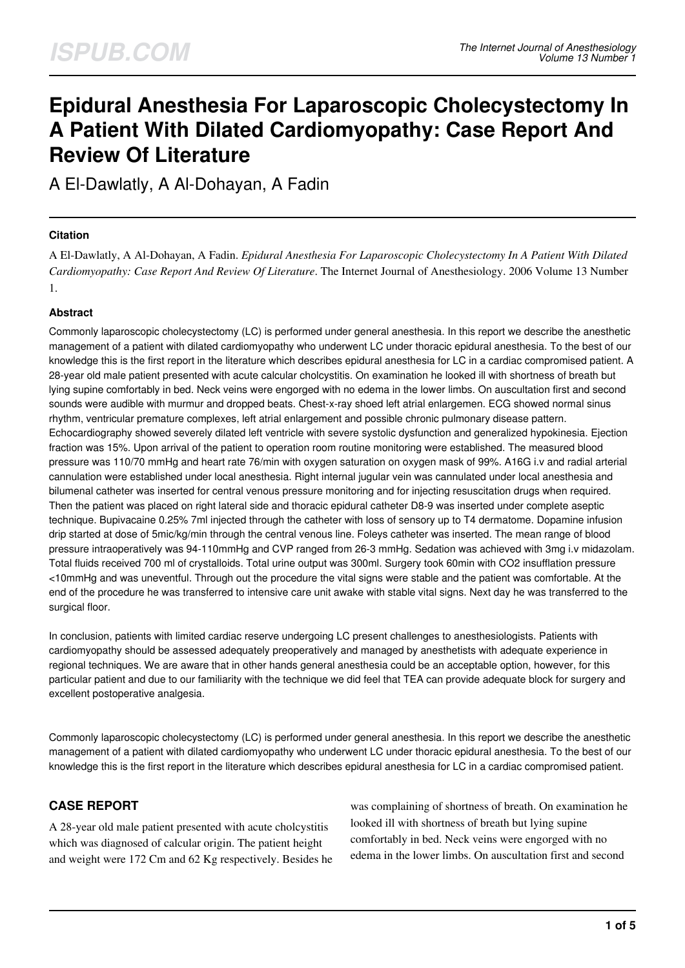# **Epidural Anesthesia For Laparoscopic Cholecystectomy In A Patient With Dilated Cardiomyopathy: Case Report And Review Of Literature**

A El-Dawlatly, A Al-Dohayan, A Fadin

## **Citation**

A El-Dawlatly, A Al-Dohayan, A Fadin. *Epidural Anesthesia For Laparoscopic Cholecystectomy In A Patient With Dilated Cardiomyopathy: Case Report And Review Of Literature*. The Internet Journal of Anesthesiology. 2006 Volume 13 Number 1.

## **Abstract**

Commonly laparoscopic cholecystectomy (LC) is performed under general anesthesia. In this report we describe the anesthetic management of a patient with dilated cardiomyopathy who underwent LC under thoracic epidural anesthesia. To the best of our knowledge this is the first report in the literature which describes epidural anesthesia for LC in a cardiac compromised patient. A 28-year old male patient presented with acute calcular cholcystitis. On examination he looked ill with shortness of breath but lying supine comfortably in bed. Neck veins were engorged with no edema in the lower limbs. On auscultation first and second sounds were audible with murmur and dropped beats. Chest-x-ray shoed left atrial enlargemen. ECG showed normal sinus rhythm, ventricular premature complexes, left atrial enlargement and possible chronic pulmonary disease pattern. Echocardiography showed severely dilated left ventricle with severe systolic dysfunction and generalized hypokinesia. Ejection fraction was 15%. Upon arrival of the patient to operation room routine monitoring were established. The measured blood pressure was 110/70 mmHg and heart rate 76/min with oxygen saturation on oxygen mask of 99%. A16G i.v and radial arterial cannulation were established under local anesthesia. Right internal jugular vein was cannulated under local anesthesia and bilumenal catheter was inserted for central venous pressure monitoring and for injecting resuscitation drugs when required. Then the patient was placed on right lateral side and thoracic epidural catheter D8-9 was inserted under complete aseptic technique. Bupivacaine 0.25% 7ml injected through the catheter with loss of sensory up to T4 dermatome. Dopamine infusion drip started at dose of 5mic/kg/min through the central venous line. Foleys catheter was inserted. The mean range of blood pressure intraoperatively was 94-110mmHg and CVP ranged from 26-3 mmHg. Sedation was achieved with 3mg i.v midazolam. Total fluids received 700 ml of crystalloids. Total urine output was 300ml. Surgery took 60min with CO2 insufflation pressure <10mmHg and was uneventful. Through out the procedure the vital signs were stable and the patient was comfortable. At the end of the procedure he was transferred to intensive care unit awake with stable vital signs. Next day he was transferred to the surgical floor.

In conclusion, patients with limited cardiac reserve undergoing LC present challenges to anesthesiologists. Patients with cardiomyopathy should be assessed adequately preoperatively and managed by anesthetists with adequate experience in regional techniques. We are aware that in other hands general anesthesia could be an acceptable option, however, for this particular patient and due to our familiarity with the technique we did feel that TEA can provide adequate block for surgery and excellent postoperative analgesia.

Commonly laparoscopic cholecystectomy (LC) is performed under general anesthesia. In this report we describe the anesthetic management of a patient with dilated cardiomyopathy who underwent LC under thoracic epidural anesthesia. To the best of our knowledge this is the first report in the literature which describes epidural anesthesia for LC in a cardiac compromised patient.

## **CASE REPORT**

A 28-year old male patient presented with acute cholcystitis which was diagnosed of calcular origin. The patient height and weight were 172 Cm and 62 Kg respectively. Besides he was complaining of shortness of breath. On examination he looked ill with shortness of breath but lying supine comfortably in bed. Neck veins were engorged with no edema in the lower limbs. On auscultation first and second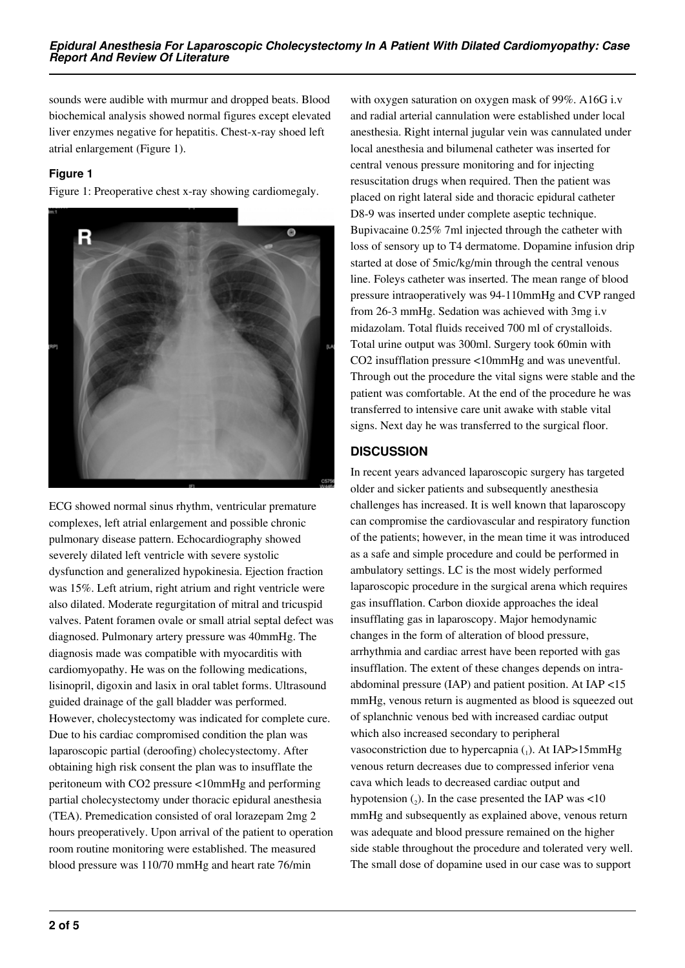sounds were audible with murmur and dropped beats. Blood biochemical analysis showed normal figures except elevated liver enzymes negative for hepatitis. Chest-x-ray shoed left atrial enlargement (Figure 1).

## **Figure 1**

Figure 1: Preoperative chest x-ray showing cardiomegaly.



ECG showed normal sinus rhythm, ventricular premature complexes, left atrial enlargement and possible chronic pulmonary disease pattern. Echocardiography showed severely dilated left ventricle with severe systolic dysfunction and generalized hypokinesia. Ejection fraction was 15%. Left atrium, right atrium and right ventricle were also dilated. Moderate regurgitation of mitral and tricuspid valves. Patent foramen ovale or small atrial septal defect was diagnosed. Pulmonary artery pressure was 40mmHg. The diagnosis made was compatible with myocarditis with cardiomyopathy. He was on the following medications, lisinopril, digoxin and lasix in oral tablet forms. Ultrasound guided drainage of the gall bladder was performed. However, cholecystectomy was indicated for complete cure. Due to his cardiac compromised condition the plan was laparoscopic partial (deroofing) cholecystectomy. After obtaining high risk consent the plan was to insufflate the peritoneum with CO2 pressure <10mmHg and performing partial cholecystectomy under thoracic epidural anesthesia (TEA). Premedication consisted of oral lorazepam 2mg 2 hours preoperatively. Upon arrival of the patient to operation room routine monitoring were established. The measured blood pressure was 110/70 mmHg and heart rate 76/min

with oxygen saturation on oxygen mask of 99%. A16G i.v and radial arterial cannulation were established under local anesthesia. Right internal jugular vein was cannulated under local anesthesia and bilumenal catheter was inserted for central venous pressure monitoring and for injecting resuscitation drugs when required. Then the patient was placed on right lateral side and thoracic epidural catheter D8-9 was inserted under complete aseptic technique. Bupivacaine 0.25% 7ml injected through the catheter with loss of sensory up to T4 dermatome. Dopamine infusion drip started at dose of 5mic/kg/min through the central venous line. Foleys catheter was inserted. The mean range of blood pressure intraoperatively was 94-110mmHg and CVP ranged from 26-3 mmHg. Sedation was achieved with 3mg i.v midazolam. Total fluids received 700 ml of crystalloids. Total urine output was 300ml. Surgery took 60min with CO2 insufflation pressure <10mmHg and was uneventful. Through out the procedure the vital signs were stable and the patient was comfortable. At the end of the procedure he was transferred to intensive care unit awake with stable vital signs. Next day he was transferred to the surgical floor.

# **DISCUSSION**

In recent years advanced laparoscopic surgery has targeted older and sicker patients and subsequently anesthesia challenges has increased. It is well known that laparoscopy can compromise the cardiovascular and respiratory function of the patients; however, in the mean time it was introduced as a safe and simple procedure and could be performed in ambulatory settings. LC is the most widely performed laparoscopic procedure in the surgical arena which requires gas insufflation. Carbon dioxide approaches the ideal insufflating gas in laparoscopy. Major hemodynamic changes in the form of alteration of blood pressure, arrhythmia and cardiac arrest have been reported with gas insufflation. The extent of these changes depends on intraabdominal pressure (IAP) and patient position. At IAP <15 mmHg, venous return is augmented as blood is squeezed out of splanchnic venous bed with increased cardiac output which also increased secondary to peripheral vasoconstriction due to hypercapnia  $_{(1)}$ . At IAP>15mmHg venous return decreases due to compressed inferior vena cava which leads to decreased cardiac output and hypotension  $\binom{1}{2}$ . In the case presented the IAP was <10 mmHg and subsequently as explained above, venous return was adequate and blood pressure remained on the higher side stable throughout the procedure and tolerated very well. The small dose of dopamine used in our case was to support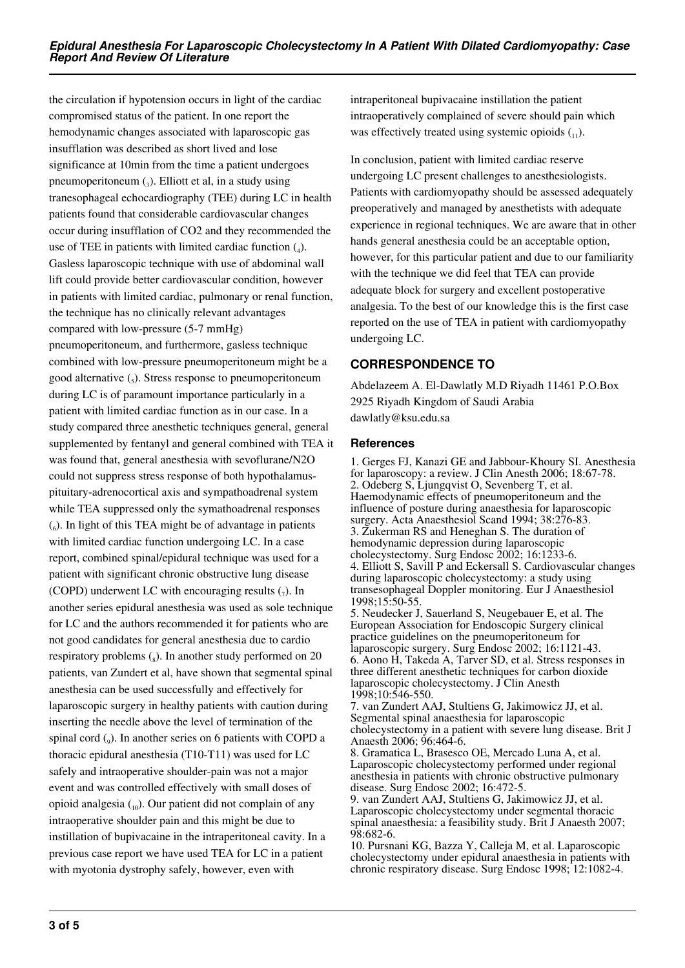the circulation if hypotension occurs in light of the cardiac compromised status of the patient. In one report the hemodynamic changes associated with laparoscopic gas insufflation was described as short lived and lose significance at 10min from the time a patient undergoes pneumoperitoneum  $_{3}$ ). Elliott et al, in a study using tranesophageal echocardiography (TEE) during LC in health patients found that considerable cardiovascular changes occur during insufflation of CO2 and they recommended the use of TEE in patients with limited cardiac function  $(_4)$ . Gasless laparoscopic technique with use of abdominal wall lift could provide better cardiovascular condition, however in patients with limited cardiac, pulmonary or renal function, the technique has no clinically relevant advantages compared with low-pressure (5-7 mmHg) pneumoperitoneum, and furthermore, gasless technique combined with low-pressure pneumoperitoneum might be a good alternative  $\left($ <sub>5</sub> $\right)$ . Stress response to pneumoperitoneum during LC is of paramount importance particularly in a patient with limited cardiac function as in our case. In a study compared three anesthetic techniques general, general supplemented by fentanyl and general combined with TEA it was found that, general anesthesia with sevoflurane/N2O could not suppress stress response of both hypothalamuspituitary-adrenocortical axis and sympathoadrenal system while TEA suppressed only the symathoadrenal responses (6 ). In light of this TEA might be of advantage in patients with limited cardiac function undergoing LC. In a case report, combined spinal/epidural technique was used for a patient with significant chronic obstructive lung disease (COPD) underwent LC with encouraging results  $_{7}$ ). In another series epidural anesthesia was used as sole technique for LC and the authors recommended it for patients who are not good candidates for general anesthesia due to cardio respiratory problems  $\binom{8}{8}$ . In another study performed on 20 patients, van Zundert et al, have shown that segmental spinal anesthesia can be used successfully and effectively for laparoscopic surgery in healthy patients with caution during inserting the needle above the level of termination of the spinal cord (<sup>9</sup> ). In another series on 6 patients with COPD a thoracic epidural anesthesia (T10-T11) was used for LC safely and intraoperative shoulder-pain was not a major event and was controlled effectively with small doses of opioid analgesia  $\binom{10}{10}$ . Our patient did not complain of any intraoperative shoulder pain and this might be due to instillation of bupivacaine in the intraperitoneal cavity. In a previous case report we have used TEA for LC in a patient with myotonia dystrophy safely, however, even with

intraperitoneal bupivacaine instillation the patient intraoperatively complained of severe should pain which was effectively treated using systemic opioids  $(_{11})$ .

In conclusion, patient with limited cardiac reserve undergoing LC present challenges to anesthesiologists. Patients with cardiomyopathy should be assessed adequately preoperatively and managed by anesthetists with adequate experience in regional techniques. We are aware that in other hands general anesthesia could be an acceptable option, however, for this particular patient and due to our familiarity with the technique we did feel that TEA can provide adequate block for surgery and excellent postoperative analgesia. To the best of our knowledge this is the first case reported on the use of TEA in patient with cardiomyopathy undergoing LC.

# **CORRESPONDENCE TO**

Abdelazeem A. El-Dawlatly M.D Riyadh 11461 P.O.Box 2925 Riyadh Kingdom of Saudi Arabia dawlatly@ksu.edu.sa

## **References**

1. Gerges FJ, Kanazi GE and Jabbour-Khoury SI. Anesthesia for laparoscopy: a review. J Clin Anesth 2006; 18:67-78. 2. Odeberg S, Ljungqvist O, Sevenberg T, et al. Haemodynamic effects of pneumoperitoneum and the influence of posture during anaesthesia for laparoscopic surgery. Acta Anaesthesiol Scand 1994; 38:276-83. 3. Zukerman RS and Heneghan S. The duration of hemodynamic depression during laparoscopic cholecystectomy. Surg Endosc 2002; 16:1233-6. 4. Elliott S, Savill P and Eckersall S. Cardiovascular changes during laparoscopic cholecystectomy: a study using transesophageal Doppler monitoring. Eur J Anaesthesiol 1998;15:50-55.

5. Neudecker J, Sauerland S, Neugebauer E, et al. The European Association for Endoscopic Surgery clinical practice guidelines on the pneumoperitoneum for laparoscopic surgery. Surg Endosc 2002; 16:1121-43. 6. Aono H, Takeda A, Tarver SD, et al. Stress responses in three different anesthetic techniques for carbon dioxide laparoscopic cholecystectomy. J Clin Anesth 1998;10:546-550.

7. van Zundert AAJ, Stultiens G, Jakimowicz JJ, et al. Segmental spinal anaesthesia for laparoscopic cholecystectomy in a patient with severe lung disease. Brit J Anaesth 2006; 96:464-6.

8. Gramatica L, Brasesco OE, Mercado Luna A, et al. Laparoscopic cholecystectomy performed under regional anesthesia in patients with chronic obstructive pulmonary disease. Surg Endosc 2002; 16:472-5.

9. van Zundert AAJ, Stultiens G, Jakimowicz JJ, et al. Laparoscopic cholecystectomy under segmental thoracic spinal anaesthesia: a feasibility study. Brit J Anaesth 2007; 98:682-6.

10. Pursnani KG, Bazza Y, Calleja M, et al. Laparoscopic cholecystectomy under epidural anaesthesia in patients with chronic respiratory disease. Surg Endosc 1998; 12:1082-4.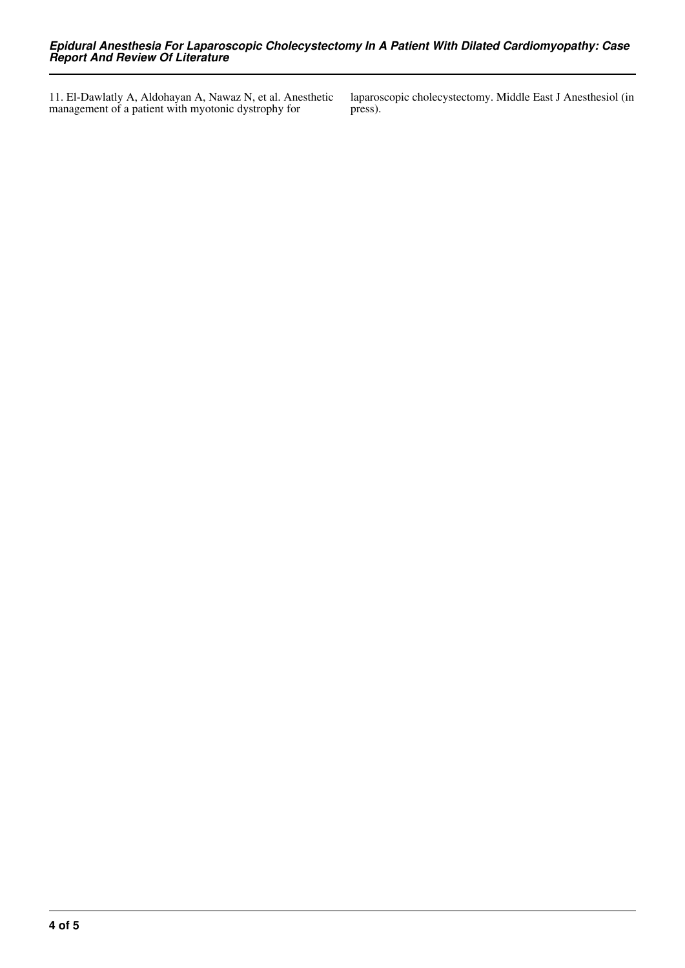11. El-Dawlatly A, Aldohayan A, Nawaz N, et al. Anesthetic management of a patient with myotonic dystrophy for

laparoscopic cholecystectomy. Middle East J Anesthesiol (in press).